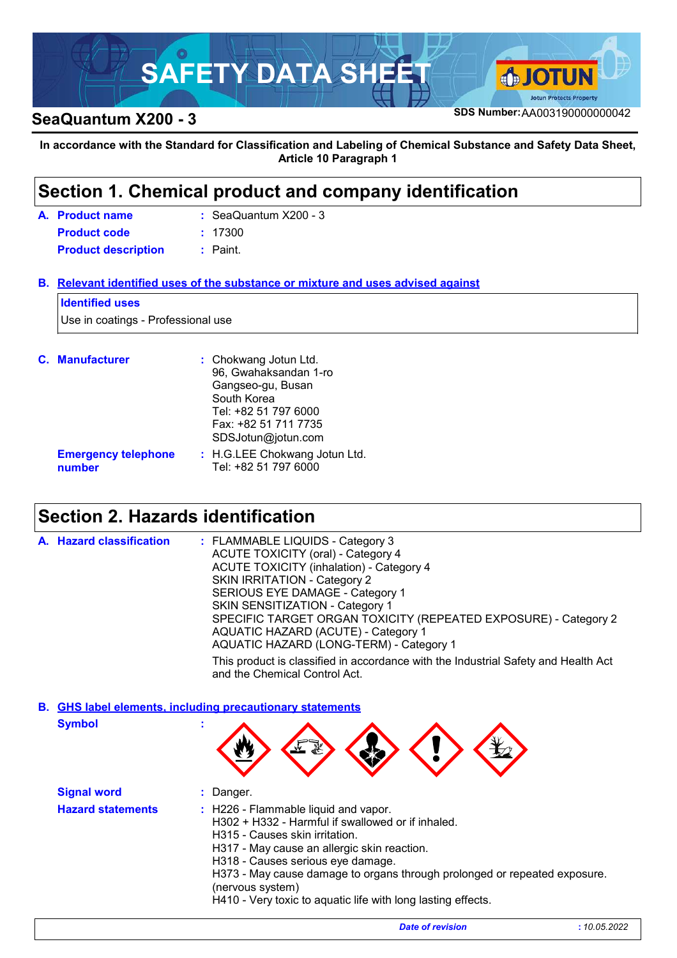# **SAFETY DATA SHEET A GJOTUN Protects Property SeaQuantum X200 - 3**<br>**SeaQuantum X200 - 3**

**In accordance with the Standard for Classification and Labeling of Chemical Substance and Safety Data Sheet, Article 10 Paragraph 1**

### **Section 1. Chemical product and company identification**

| A. Product name            | $:$ SeaQuantum $X200 - 3$ |
|----------------------------|---------------------------|
| <b>Product code</b>        | : 17300                   |
| <b>Product description</b> | : Paint.                  |

**Relevant identified uses of the substance or mixture and uses advised against B.**

#### **Identified uses**

Use in coatings - Professional use

| <b>C.</b> Manufacturer               | : Chokwang Jotun Ltd.<br>96, Gwahaksandan 1-ro<br>Gangseo-gu, Busan<br>South Korea<br>Tel: +82 51 797 6000<br>Fax: +82 51 711 7735<br>SDSJotun@jotun.com |
|--------------------------------------|----------------------------------------------------------------------------------------------------------------------------------------------------------|
| <b>Emergency telephone</b><br>number | : H.G.LEE Chokwang Jotun Ltd.<br>Tel: +82 51 797 6000                                                                                                    |

### **Section 2. Hazards identification**

| A. Hazard classification | : FLAMMABLE LIQUIDS - Category 3<br><b>ACUTE TOXICITY (oral) - Category 4</b><br><b>ACUTE TOXICITY (inhalation) - Category 4</b><br>SKIN IRRITATION - Category 2<br>SERIOUS EYE DAMAGE - Category 1<br>SKIN SENSITIZATION - Category 1<br>SPECIFIC TARGET ORGAN TOXICITY (REPEATED EXPOSURE) - Category 2<br>AQUATIC HAZARD (ACUTE) - Category 1 |
|--------------------------|--------------------------------------------------------------------------------------------------------------------------------------------------------------------------------------------------------------------------------------------------------------------------------------------------------------------------------------------------|
|                          | AQUATIC HAZARD (LONG-TERM) - Category 1                                                                                                                                                                                                                                                                                                          |
|                          | This product is classified in accordance with the Industrial Safety and Health Act<br>and the Chemical Control Act.                                                                                                                                                                                                                              |

**Symbol : GHS label elements, including precautionary statements B.**

|  | <b>IN THE</b><br>L | Э.,<br>. w.<br><b>War</b> | Y. |  |  |
|--|--------------------|---------------------------|----|--|--|
|--|--------------------|---------------------------|----|--|--|

|                                                                                                                                                                                                                                                                                                                                                                                                              | <b>Signal word</b> |  |
|--------------------------------------------------------------------------------------------------------------------------------------------------------------------------------------------------------------------------------------------------------------------------------------------------------------------------------------------------------------------------------------------------------------|--------------------|--|
| <b>Hazard statements</b><br>: H226 - Flammable liquid and vapor.<br>H302 + H332 - Harmful if swallowed or if inhaled.<br>H315 - Causes skin irritation.<br>H317 - May cause an allergic skin reaction.<br>H318 - Causes serious eye damage.<br>H373 - May cause damage to organs through prolonged or repeated exposure.<br>(nervous system)<br>H410 - Very toxic to aquatic life with long lasting effects. |                    |  |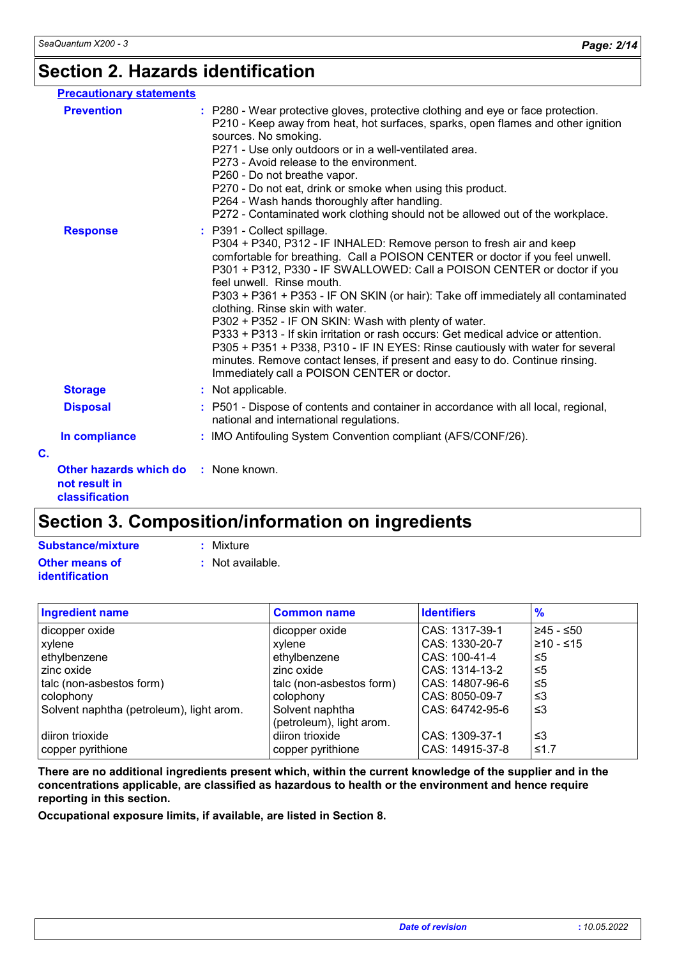### **Section 2. Hazards identification**

| <b>Precautionary statements</b>                                         |                                                                                                                                                                                                                                                                                                                                                                                                                                                                                                                                                                                                                                                                                                                                                                                  |
|-------------------------------------------------------------------------|----------------------------------------------------------------------------------------------------------------------------------------------------------------------------------------------------------------------------------------------------------------------------------------------------------------------------------------------------------------------------------------------------------------------------------------------------------------------------------------------------------------------------------------------------------------------------------------------------------------------------------------------------------------------------------------------------------------------------------------------------------------------------------|
| <b>Prevention</b>                                                       | : P280 - Wear protective gloves, protective clothing and eye or face protection.<br>P210 - Keep away from heat, hot surfaces, sparks, open flames and other ignition<br>sources. No smoking.<br>P271 - Use only outdoors or in a well-ventilated area.<br>P273 - Avoid release to the environment.<br>P260 - Do not breathe vapor.<br>P270 - Do not eat, drink or smoke when using this product.<br>P264 - Wash hands thoroughly after handling.<br>P272 - Contaminated work clothing should not be allowed out of the workplace.                                                                                                                                                                                                                                                |
| <b>Response</b>                                                         | : P391 - Collect spillage.<br>P304 + P340, P312 - IF INHALED: Remove person to fresh air and keep<br>comfortable for breathing. Call a POISON CENTER or doctor if you feel unwell.<br>P301 + P312, P330 - IF SWALLOWED: Call a POISON CENTER or doctor if you<br>feel unwell. Rinse mouth.<br>P303 + P361 + P353 - IF ON SKIN (or hair): Take off immediately all contaminated<br>clothing. Rinse skin with water.<br>P302 + P352 - IF ON SKIN: Wash with plenty of water.<br>P333 + P313 - If skin irritation or rash occurs: Get medical advice or attention.<br>P305 + P351 + P338, P310 - IF IN EYES: Rinse cautiously with water for several<br>minutes. Remove contact lenses, if present and easy to do. Continue rinsing.<br>Immediately call a POISON CENTER or doctor. |
| <b>Storage</b>                                                          | : Not applicable.                                                                                                                                                                                                                                                                                                                                                                                                                                                                                                                                                                                                                                                                                                                                                                |
| <b>Disposal</b>                                                         | : P501 - Dispose of contents and container in accordance with all local, regional,<br>national and international regulations.                                                                                                                                                                                                                                                                                                                                                                                                                                                                                                                                                                                                                                                    |
| In compliance                                                           | : IMO Antifouling System Convention compliant (AFS/CONF/26).                                                                                                                                                                                                                                                                                                                                                                                                                                                                                                                                                                                                                                                                                                                     |
| C.                                                                      |                                                                                                                                                                                                                                                                                                                                                                                                                                                                                                                                                                                                                                                                                                                                                                                  |
| Other hazards which do : None known.<br>not result in<br>classification |                                                                                                                                                                                                                                                                                                                                                                                                                                                                                                                                                                                                                                                                                                                                                                                  |

## **Section 3. Composition/information on ingredients**

| Mixture |
|---------|
|---------|

| Substance/mixture     | : Mixture        |
|-----------------------|------------------|
| Other means of        | : Not available. |
| <b>identification</b> |                  |

| <b>Ingredient name</b>                   | <b>Common name</b>       | <b>Identifiers</b> | $\frac{9}{6}$ |
|------------------------------------------|--------------------------|--------------------|---------------|
| dicopper oxide                           | dicopper oxide           | CAS: 1317-39-1     | $≥45 - ≤50$   |
| xylene                                   | xylene                   | CAS: 1330-20-7     | $≥10 - ≤15$   |
| ethylbenzene                             | ethylbenzene             | CAS: 100-41-4      | ≤5            |
| zinc oxide                               | zinc oxide               | CAS: 1314-13-2     | ≤5            |
| talc (non-asbestos form)                 | talc (non-asbestos form) | CAS: 14807-96-6    | -≤5           |
| colophony                                | colophony                | CAS: 8050-09-7     | ו≥ ≥          |
| Solvent naphtha (petroleum), light arom. | Solvent naphtha          | CAS: 64742-95-6    | -≤3           |
|                                          | (petroleum), light arom. |                    |               |
| diiron trioxide                          | diiron trioxide          | CAS: 1309-37-1     | ו≥ ≥          |
| copper pyrithione                        | copper pyrithione        | CAS: 14915-37-8    | ≤1.7          |

**There are no additional ingredients present which, within the current knowledge of the supplier and in the concentrations applicable, are classified as hazardous to health or the environment and hence require reporting in this section.**

**Occupational exposure limits, if available, are listed in Section 8.**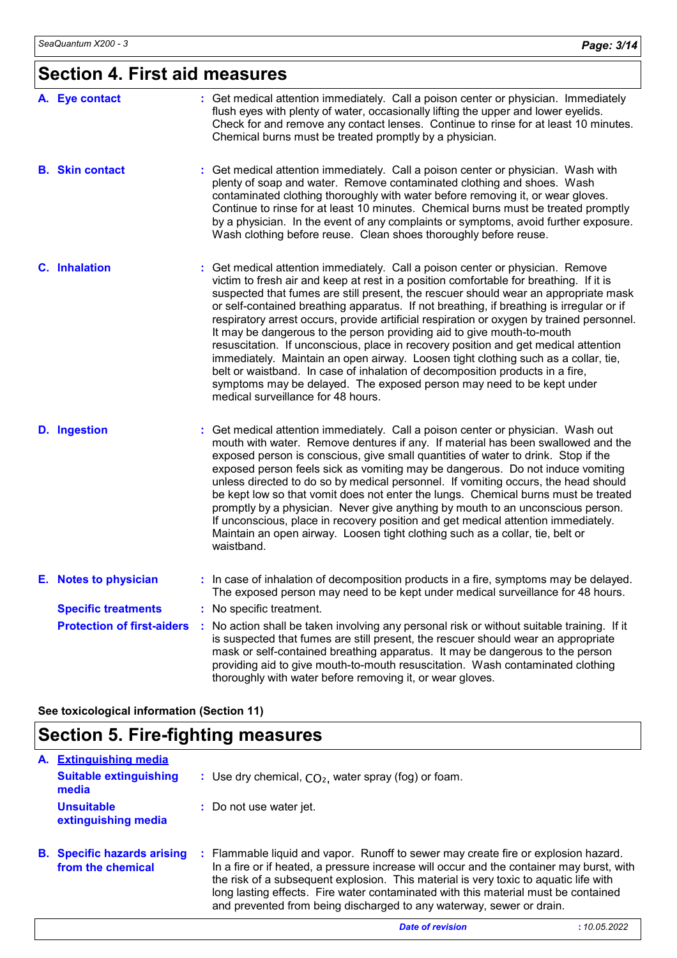# **Section 4. First aid measures**

| A. Eye contact                    | : Get medical attention immediately. Call a poison center or physician. Immediately<br>flush eyes with plenty of water, occasionally lifting the upper and lower eyelids.<br>Check for and remove any contact lenses. Continue to rinse for at least 10 minutes.<br>Chemical burns must be treated promptly by a physician.                                                                                                                                                                                                                                                                                                                                                                                                                                                                                                                                                                                     |
|-----------------------------------|-----------------------------------------------------------------------------------------------------------------------------------------------------------------------------------------------------------------------------------------------------------------------------------------------------------------------------------------------------------------------------------------------------------------------------------------------------------------------------------------------------------------------------------------------------------------------------------------------------------------------------------------------------------------------------------------------------------------------------------------------------------------------------------------------------------------------------------------------------------------------------------------------------------------|
| <b>B.</b> Skin contact            | : Get medical attention immediately. Call a poison center or physician. Wash with<br>plenty of soap and water. Remove contaminated clothing and shoes. Wash<br>contaminated clothing thoroughly with water before removing it, or wear gloves.<br>Continue to rinse for at least 10 minutes. Chemical burns must be treated promptly<br>by a physician. In the event of any complaints or symptoms, avoid further exposure.<br>Wash clothing before reuse. Clean shoes thoroughly before reuse.                                                                                                                                                                                                                                                                                                                                                                                                                 |
| C. Inhalation                     | : Get medical attention immediately. Call a poison center or physician. Remove<br>victim to fresh air and keep at rest in a position comfortable for breathing. If it is<br>suspected that fumes are still present, the rescuer should wear an appropriate mask<br>or self-contained breathing apparatus. If not breathing, if breathing is irregular or if<br>respiratory arrest occurs, provide artificial respiration or oxygen by trained personnel.<br>It may be dangerous to the person providing aid to give mouth-to-mouth<br>resuscitation. If unconscious, place in recovery position and get medical attention<br>immediately. Maintain an open airway. Loosen tight clothing such as a collar, tie,<br>belt or waistband. In case of inhalation of decomposition products in a fire,<br>symptoms may be delayed. The exposed person may need to be kept under<br>medical surveillance for 48 hours. |
| <b>D.</b> Ingestion               | : Get medical attention immediately. Call a poison center or physician. Wash out<br>mouth with water. Remove dentures if any. If material has been swallowed and the<br>exposed person is conscious, give small quantities of water to drink. Stop if the<br>exposed person feels sick as vomiting may be dangerous. Do not induce vomiting<br>unless directed to do so by medical personnel. If vomiting occurs, the head should<br>be kept low so that vomit does not enter the lungs. Chemical burns must be treated<br>promptly by a physician. Never give anything by mouth to an unconscious person.<br>If unconscious, place in recovery position and get medical attention immediately.<br>Maintain an open airway. Loosen tight clothing such as a collar, tie, belt or<br>waistband.                                                                                                                  |
| E. Notes to physician             | : In case of inhalation of decomposition products in a fire, symptoms may be delayed.<br>The exposed person may need to be kept under medical surveillance for 48 hours.                                                                                                                                                                                                                                                                                                                                                                                                                                                                                                                                                                                                                                                                                                                                        |
| <b>Specific treatments</b>        | : No specific treatment.                                                                                                                                                                                                                                                                                                                                                                                                                                                                                                                                                                                                                                                                                                                                                                                                                                                                                        |
| <b>Protection of first-aiders</b> | : No action shall be taken involving any personal risk or without suitable training. If it<br>is suspected that fumes are still present, the rescuer should wear an appropriate<br>mask or self-contained breathing apparatus. It may be dangerous to the person<br>providing aid to give mouth-to-mouth resuscitation. Wash contaminated clothing<br>thoroughly with water before removing it, or wear gloves.                                                                                                                                                                                                                                                                                                                                                                                                                                                                                                 |

**See toxicological information (Section 11)**

# **Section 5. Fire-fighting measures**

| A. | <b>Extinguishing media</b>                              |                                                                                                                                                                                                                                                                                                                                                                                                                                      |
|----|---------------------------------------------------------|--------------------------------------------------------------------------------------------------------------------------------------------------------------------------------------------------------------------------------------------------------------------------------------------------------------------------------------------------------------------------------------------------------------------------------------|
|    | <b>Suitable extinguishing</b><br>media                  | : Use dry chemical, $CO2$ , water spray (fog) or foam.                                                                                                                                                                                                                                                                                                                                                                               |
|    | <b>Unsuitable</b><br>extinguishing media                | : Do not use water jet.                                                                                                                                                                                                                                                                                                                                                                                                              |
|    | <b>B.</b> Specific hazards arising<br>from the chemical | : Flammable liquid and vapor. Runoff to sewer may create fire or explosion hazard.<br>In a fire or if heated, a pressure increase will occur and the container may burst, with<br>the risk of a subsequent explosion. This material is very toxic to aquatic life with<br>long lasting effects. Fire water contaminated with this material must be contained<br>and prevented from being discharged to any waterway, sewer or drain. |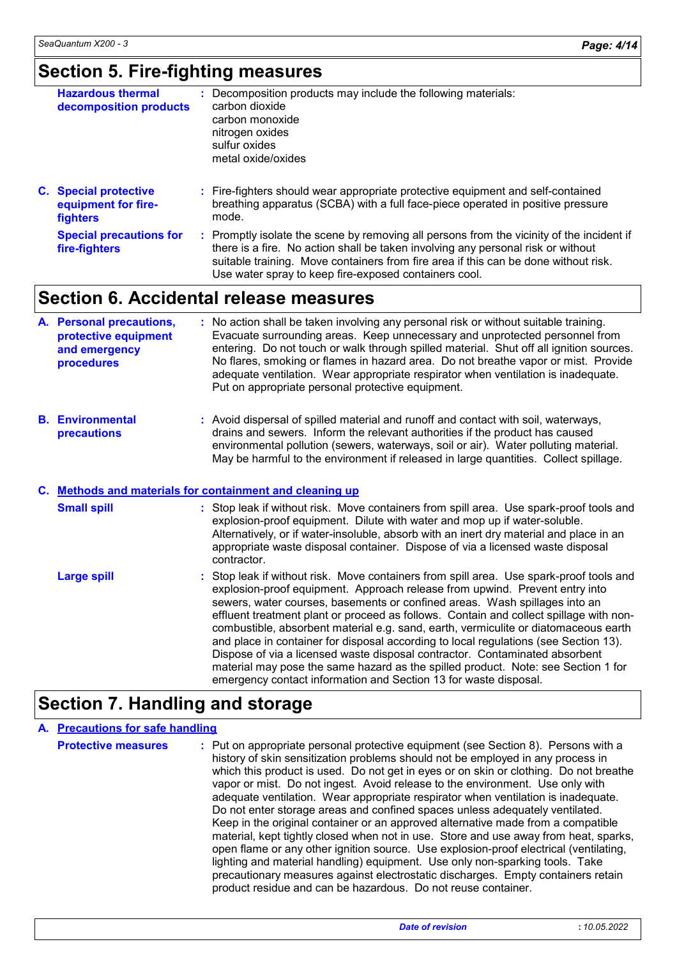### **Section 5. Fire-fighting measures**

| <b>Hazardous thermal</b><br>decomposition products                     | : Decomposition products may include the following materials:<br>carbon dioxide<br>carbon monoxide<br>nitrogen oxides<br>sulfur oxides<br>metal oxide/oxides                |
|------------------------------------------------------------------------|-----------------------------------------------------------------------------------------------------------------------------------------------------------------------------|
| <b>C.</b> Special protective<br>equipment for fire-<br><b>fighters</b> | : Fire-fighters should wear appropriate protective equipment and self-contained<br>breathing apparatus (SCBA) with a full face-piece operated in positive pressure<br>mode. |
| <b>Special precautions for</b>                                         | Promptly isolate the scene by removing all persons from the vicinity of the incident if                                                                                     |

Promptly isolate the scene by removing all persons from the vicinity of the incident if there is a fire. No action shall be taken involving any personal risk or without suitable training. Move containers from fire area if this can be done without risk. Use water spray to keep fire-exposed containers cool. **Special precautions for fire-fighters :**

### **Section 6. Accidental release measures**

| A. Personal precautions,<br>protective equipment<br>and emergency<br>procedures | : No action shall be taken involving any personal risk or without suitable training.<br>Evacuate surrounding areas. Keep unnecessary and unprotected personnel from<br>entering. Do not touch or walk through spilled material. Shut off all ignition sources.<br>No flares, smoking or flames in hazard area. Do not breathe vapor or mist. Provide<br>adequate ventilation. Wear appropriate respirator when ventilation is inadequate.<br>Put on appropriate personal protective equipment. |
|---------------------------------------------------------------------------------|------------------------------------------------------------------------------------------------------------------------------------------------------------------------------------------------------------------------------------------------------------------------------------------------------------------------------------------------------------------------------------------------------------------------------------------------------------------------------------------------|
|                                                                                 |                                                                                                                                                                                                                                                                                                                                                                                                                                                                                                |

**Environmental B. precautions :** Avoid dispersal of spilled material and runoff and contact with soil, waterways, drains and sewers. Inform the relevant authorities if the product has caused environmental pollution (sewers, waterways, soil or air). Water polluting material. May be harmful to the environment if released in large quantities. Collect spillage.

#### **Methods and materials for containment and cleaning up C.**

| <b>Small spill</b> | : Stop leak if without risk. Move containers from spill area. Use spark-proof tools and<br>explosion-proof equipment. Dilute with water and mop up if water-soluble.<br>Alternatively, or if water-insoluble, absorb with an inert dry material and place in an<br>appropriate waste disposal container. Dispose of via a licensed waste disposal<br>contractor.                                                                                                                                                                                                                                                                                                                                                                                                      |
|--------------------|-----------------------------------------------------------------------------------------------------------------------------------------------------------------------------------------------------------------------------------------------------------------------------------------------------------------------------------------------------------------------------------------------------------------------------------------------------------------------------------------------------------------------------------------------------------------------------------------------------------------------------------------------------------------------------------------------------------------------------------------------------------------------|
| <b>Large spill</b> | : Stop leak if without risk. Move containers from spill area. Use spark-proof tools and<br>explosion-proof equipment. Approach release from upwind. Prevent entry into<br>sewers, water courses, basements or confined areas. Wash spillages into an<br>effluent treatment plant or proceed as follows. Contain and collect spillage with non-<br>combustible, absorbent material e.g. sand, earth, vermiculite or diatomaceous earth<br>and place in container for disposal according to local regulations (see Section 13).<br>Dispose of via a licensed waste disposal contractor. Contaminated absorbent<br>material may pose the same hazard as the spilled product. Note: see Section 1 for<br>emergency contact information and Section 13 for waste disposal. |

### **Section 7. Handling and storage**

#### **A. Precautions for safe handling**

| <b>Protective measures</b> | : Put on appropriate personal protective equipment (see Section 8). Persons with a<br>history of skin sensitization problems should not be employed in any process in<br>which this product is used. Do not get in eyes or on skin or clothing. Do not breathe<br>vapor or mist. Do not ingest. Avoid release to the environment. Use only with<br>adequate ventilation. Wear appropriate respirator when ventilation is inadequate.<br>Do not enter storage areas and confined spaces unless adequately ventilated.<br>Keep in the original container or an approved alternative made from a compatible<br>material, kept tightly closed when not in use. Store and use away from heat, sparks,<br>open flame or any other ignition source. Use explosion-proof electrical (ventilating,<br>lighting and material handling) equipment. Use only non-sparking tools. Take |
|----------------------------|---------------------------------------------------------------------------------------------------------------------------------------------------------------------------------------------------------------------------------------------------------------------------------------------------------------------------------------------------------------------------------------------------------------------------------------------------------------------------------------------------------------------------------------------------------------------------------------------------------------------------------------------------------------------------------------------------------------------------------------------------------------------------------------------------------------------------------------------------------------------------|
|                            | precautionary measures against electrostatic discharges. Empty containers retain<br>product residue and can be hazardous. Do not reuse container.                                                                                                                                                                                                                                                                                                                                                                                                                                                                                                                                                                                                                                                                                                                         |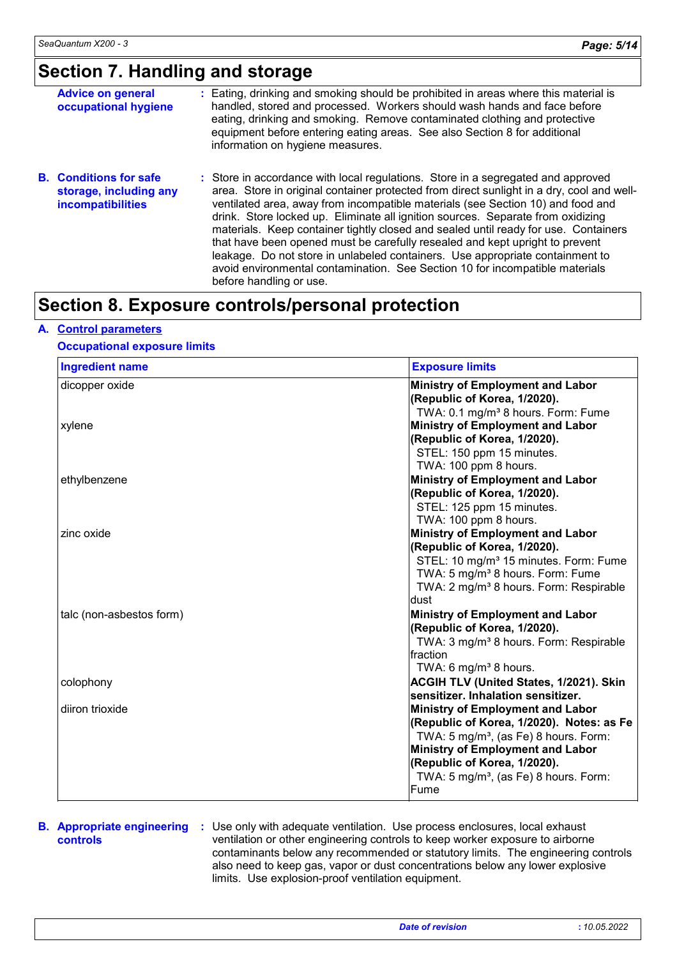### **Section 7. Handling and storage**

| <b>Advice on general</b><br>occupational hygiene                             | : Eating, drinking and smoking should be prohibited in areas where this material is<br>handled, stored and processed. Workers should wash hands and face before<br>eating, drinking and smoking. Remove contaminated clothing and protective<br>equipment before entering eating areas. See also Section 8 for additional<br>information on hygiene measures.                                                                                                                                                                                                                                                                                                                                                          |
|------------------------------------------------------------------------------|------------------------------------------------------------------------------------------------------------------------------------------------------------------------------------------------------------------------------------------------------------------------------------------------------------------------------------------------------------------------------------------------------------------------------------------------------------------------------------------------------------------------------------------------------------------------------------------------------------------------------------------------------------------------------------------------------------------------|
| <b>B.</b> Conditions for safe<br>storage, including any<br>incompatibilities | : Store in accordance with local regulations. Store in a segregated and approved<br>area. Store in original container protected from direct sunlight in a dry, cool and well-<br>ventilated area, away from incompatible materials (see Section 10) and food and<br>drink. Store locked up. Eliminate all ignition sources. Separate from oxidizing<br>materials. Keep container tightly closed and sealed until ready for use. Containers<br>that have been opened must be carefully resealed and kept upright to prevent<br>leakage. Do not store in unlabeled containers. Use appropriate containment to<br>avoid environmental contamination. See Section 10 for incompatible materials<br>before handling or use. |

### **Section 8. Exposure controls/personal protection**

#### **A. Control parameters**

#### **Occupational exposure limits**

| <b>Ingredient name</b>   | <b>Exposure limits</b>                             |
|--------------------------|----------------------------------------------------|
| dicopper oxide           | Ministry of Employment and Labor                   |
|                          | (Republic of Korea, 1/2020).                       |
|                          | TWA: 0.1 mg/m <sup>3</sup> 8 hours. Form: Fume     |
| xylene                   | Ministry of Employment and Labor                   |
|                          | (Republic of Korea, 1/2020).                       |
|                          | STEL: 150 ppm 15 minutes.                          |
|                          | TWA: 100 ppm 8 hours.                              |
| ethylbenzene             | <b>Ministry of Employment and Labor</b>            |
|                          | (Republic of Korea, 1/2020).                       |
|                          | STEL: 125 ppm 15 minutes.                          |
|                          | TWA: 100 ppm 8 hours.                              |
| zinc oxide               | <b>Ministry of Employment and Labor</b>            |
|                          | (Republic of Korea, 1/2020).                       |
|                          | STEL: 10 mg/m <sup>3</sup> 15 minutes. Form: Fume  |
|                          | TWA: 5 mg/m <sup>3</sup> 8 hours. Form: Fume       |
|                          | TWA: 2 mg/m <sup>3</sup> 8 hours. Form: Respirable |
|                          | dust                                               |
| talc (non-asbestos form) | <b>Ministry of Employment and Labor</b>            |
|                          | (Republic of Korea, 1/2020).                       |
|                          | TWA: 3 mg/m <sup>3</sup> 8 hours. Form: Respirable |
|                          | Ifraction                                          |
|                          | TWA: 6 mg/m <sup>3</sup> 8 hours.                  |
| colophony                | <b>ACGIH TLV (United States, 1/2021). Skin</b>     |
|                          | sensitizer. Inhalation sensitizer.                 |
| diiron trioxide          | <b>Ministry of Employment and Labor</b>            |
|                          | (Republic of Korea, 1/2020). Notes: as Fe          |
|                          | TWA: 5 mg/m <sup>3</sup> , (as Fe) 8 hours. Form:  |
|                          | <b>Ministry of Employment and Labor</b>            |
|                          | (Republic of Korea, 1/2020).                       |
|                          | TWA: 5 mg/m <sup>3</sup> , (as Fe) 8 hours. Form:  |
|                          | Fume                                               |

### **controls**

**B. Appropriate engineering :** Use only with adequate ventilation. Use process enclosures, local exhaust ventilation or other engineering controls to keep worker exposure to airborne contaminants below any recommended or statutory limits. The engineering controls also need to keep gas, vapor or dust concentrations below any lower explosive limits. Use explosion-proof ventilation equipment.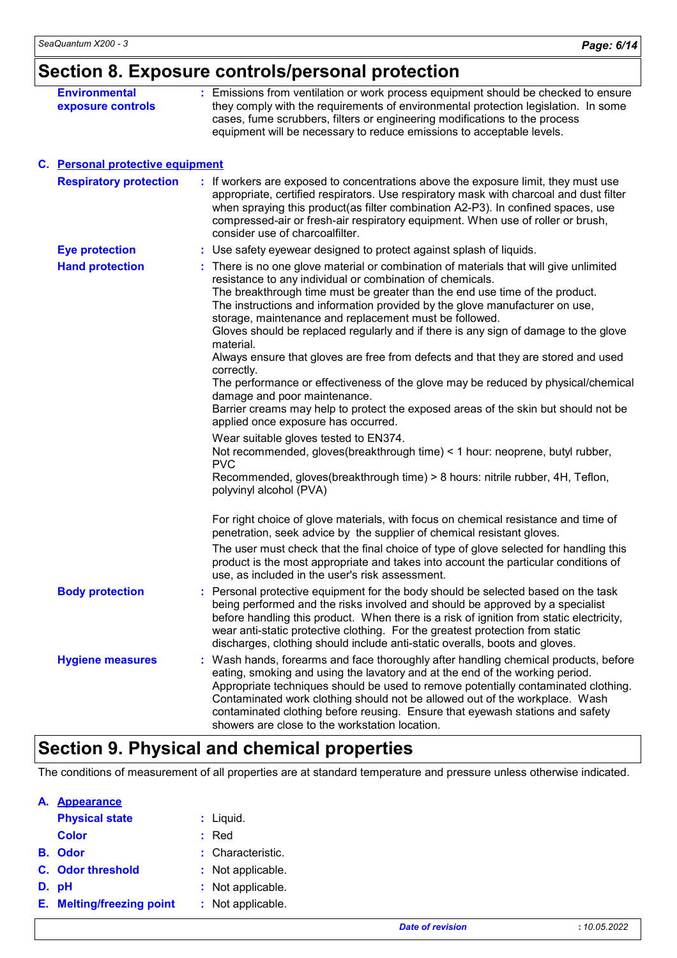# **Section 8. Exposure controls/personal protection**

| <b>Environmental</b><br>exposure controls | : Emissions from ventilation or work process equipment should be checked to ensure<br>they comply with the requirements of environmental protection legislation. In some<br>cases, fume scrubbers, filters or engineering modifications to the process<br>equipment will be necessary to reduce emissions to acceptable levels.                                                                                                                                                                                                                                                                                                                                                                                                                                                                                                                                                                                                                                                                                                                                                         |
|-------------------------------------------|-----------------------------------------------------------------------------------------------------------------------------------------------------------------------------------------------------------------------------------------------------------------------------------------------------------------------------------------------------------------------------------------------------------------------------------------------------------------------------------------------------------------------------------------------------------------------------------------------------------------------------------------------------------------------------------------------------------------------------------------------------------------------------------------------------------------------------------------------------------------------------------------------------------------------------------------------------------------------------------------------------------------------------------------------------------------------------------------|
| C. Personal protective equipment          |                                                                                                                                                                                                                                                                                                                                                                                                                                                                                                                                                                                                                                                                                                                                                                                                                                                                                                                                                                                                                                                                                         |
| <b>Respiratory protection</b>             | : If workers are exposed to concentrations above the exposure limit, they must use<br>appropriate, certified respirators. Use respiratory mask with charcoal and dust filter<br>when spraying this product(as filter combination A2-P3). In confined spaces, use<br>compressed-air or fresh-air respiratory equipment. When use of roller or brush,<br>consider use of charcoalfilter.                                                                                                                                                                                                                                                                                                                                                                                                                                                                                                                                                                                                                                                                                                  |
| <b>Eye protection</b>                     | : Use safety eyewear designed to protect against splash of liquids.                                                                                                                                                                                                                                                                                                                                                                                                                                                                                                                                                                                                                                                                                                                                                                                                                                                                                                                                                                                                                     |
| <b>Hand protection</b>                    | : There is no one glove material or combination of materials that will give unlimited<br>resistance to any individual or combination of chemicals.<br>The breakthrough time must be greater than the end use time of the product.<br>The instructions and information provided by the glove manufacturer on use,<br>storage, maintenance and replacement must be followed.<br>Gloves should be replaced regularly and if there is any sign of damage to the glove<br>material.<br>Always ensure that gloves are free from defects and that they are stored and used<br>correctly.<br>The performance or effectiveness of the glove may be reduced by physical/chemical<br>damage and poor maintenance.<br>Barrier creams may help to protect the exposed areas of the skin but should not be<br>applied once exposure has occurred.<br>Wear suitable gloves tested to EN374.<br>Not recommended, gloves (breakthrough time) < 1 hour: neoprene, butyl rubber,<br><b>PVC</b><br>Recommended, gloves(breakthrough time) > 8 hours: nitrile rubber, 4H, Teflon,<br>polyvinyl alcohol (PVA) |
|                                           | For right choice of glove materials, with focus on chemical resistance and time of<br>penetration, seek advice by the supplier of chemical resistant gloves.<br>The user must check that the final choice of type of glove selected for handling this<br>product is the most appropriate and takes into account the particular conditions of                                                                                                                                                                                                                                                                                                                                                                                                                                                                                                                                                                                                                                                                                                                                            |
| <b>Body protection</b>                    | use, as included in the user's risk assessment.<br>Personal protective equipment for the body should be selected based on the task<br>being performed and the risks involved and should be approved by a specialist<br>before handling this product. When there is a risk of ignition from static electricity,<br>wear anti-static protective clothing. For the greatest protection from static<br>discharges, clothing should include anti-static overalls, boots and gloves.                                                                                                                                                                                                                                                                                                                                                                                                                                                                                                                                                                                                          |
| <b>Hygiene measures</b>                   | Wash hands, forearms and face thoroughly after handling chemical products, before<br>eating, smoking and using the lavatory and at the end of the working period.<br>Appropriate techniques should be used to remove potentially contaminated clothing.<br>Contaminated work clothing should not be allowed out of the workplace. Wash<br>contaminated clothing before reusing. Ensure that eyewash stations and safety<br>showers are close to the workstation location.                                                                                                                                                                                                                                                                                                                                                                                                                                                                                                                                                                                                               |

### **Section 9. Physical and chemical properties**

The conditions of measurement of all properties are at standard temperature and pressure unless otherwise indicated.

| А. | <b>Appearance</b>                |                   |
|----|----------------------------------|-------------------|
|    | <b>Physical state</b>            | : Liquid.         |
|    | Color                            | $:$ Red           |
|    | <b>B.</b> Odor                   | : Characteristic. |
|    | C. Odor threshold                | : Not applicable. |
|    | D. pH                            | : Not applicable. |
|    | <b>E.</b> Melting/freezing point | : Not applicable. |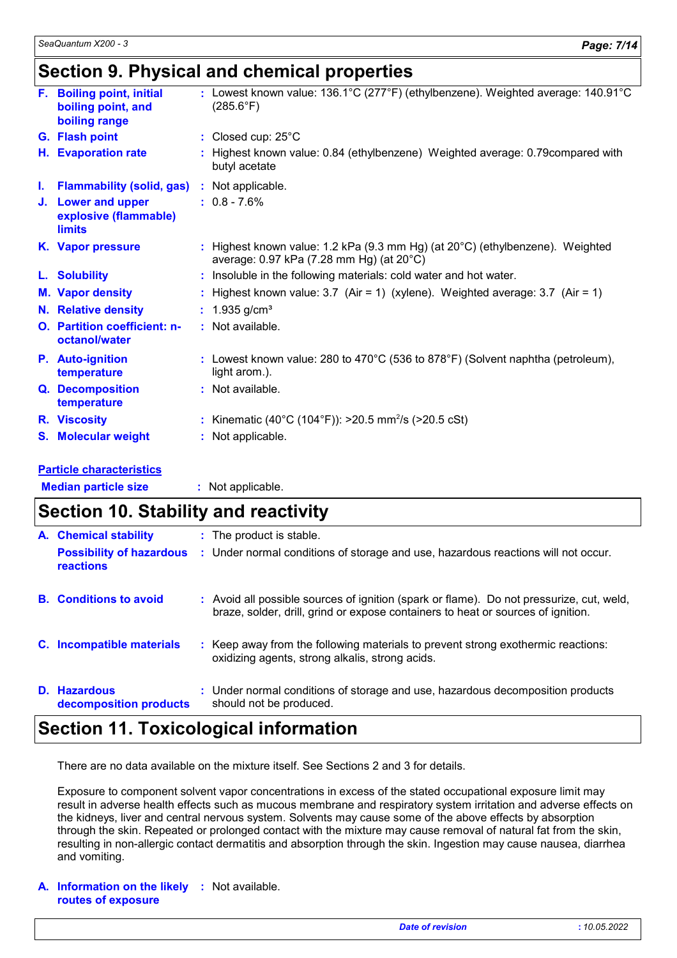### **Section 9. Physical and chemical properties**

|    | F. Boiling point, initial<br>boiling point, and<br>boiling range | : Lowest known value: 136.1°C (277°F) (ethylbenzene). Weighted average: 140.91°C<br>$(285.6^{\circ}F)$                    |
|----|------------------------------------------------------------------|---------------------------------------------------------------------------------------------------------------------------|
|    | G. Flash point                                                   | : Closed cup: $25^{\circ}$ C                                                                                              |
|    | H. Evaporation rate                                              | : Highest known value: 0.84 (ethylbenzene) Weighted average: 0.79 compared with<br>butyl acetate                          |
| L. | <b>Flammability (solid, gas)</b>                                 | : Not applicable.                                                                                                         |
|    | J. Lower and upper<br>explosive (flammable)<br><b>limits</b>     | $: 0.8 - 7.6\%$                                                                                                           |
|    | K. Vapor pressure                                                | : Highest known value: 1.2 kPa (9.3 mm Hg) (at 20°C) (ethylbenzene). Weighted<br>average: 0.97 kPa (7.28 mm Hg) (at 20°C) |
|    | L. Solubility                                                    | : Insoluble in the following materials: cold water and hot water.                                                         |
|    | <b>M. Vapor density</b>                                          | : Highest known value: $3.7$ (Air = 1) (xylene). Weighted average: $3.7$ (Air = 1)                                        |
|    | N. Relative density                                              | : $1.935$ g/cm <sup>3</sup>                                                                                               |
|    | <b>O.</b> Partition coefficient: n-<br>octanol/water             | : Not available.                                                                                                          |
|    | P. Auto-ignition<br>temperature                                  | : Lowest known value: 280 to 470 $^{\circ}$ C (536 to 878 $^{\circ}$ F) (Solvent naphtha (petroleum),<br>light arom.).    |
|    | Q. Decomposition<br>temperature                                  | : Not available.                                                                                                          |
|    | R. Viscosity                                                     | : Kinematic (40°C (104°F)): >20.5 mm <sup>2</sup> /s (>20.5 cSt)                                                          |
|    | <b>S. Molecular weight</b>                                       | : Not applicable.                                                                                                         |
|    |                                                                  |                                                                                                                           |

#### **Particle characteristics**

| <b>Median particle size</b> | Not applicable. |
|-----------------------------|-----------------|
|                             |                 |

#### **Section 10. Stability and reactivity Hazardous D. decomposition products Conditions to avoid :** Avoid all possible sources of ignition (spark or flame). Do not pressurize, cut, weld, braze, solder, drill, grind or expose containers to heat or sources of ignition. Under normal conditions of storage and use, hazardous decomposition products **:** should not be produced. **:** The product is stable. **Incompatible materials : C. A. B. Possibility of hazardous reactions :** Under normal conditions of storage and use, hazardous reactions will not occur.  $\therefore$  Keep away from the following materials to prevent strong exothermic reactions: oxidizing agents, strong alkalis, strong acids.

### **Section 11. Toxicological information**

There are no data available on the mixture itself. See Sections 2 and 3 for details.

Exposure to component solvent vapor concentrations in excess of the stated occupational exposure limit may result in adverse health effects such as mucous membrane and respiratory system irritation and adverse effects on the kidneys, liver and central nervous system. Solvents may cause some of the above effects by absorption through the skin. Repeated or prolonged contact with the mixture may cause removal of natural fat from the skin, resulting in non-allergic contact dermatitis and absorption through the skin. Ingestion may cause nausea, diarrhea and vomiting.

#### **A. Information on the likely :** Not available. **routes of exposure**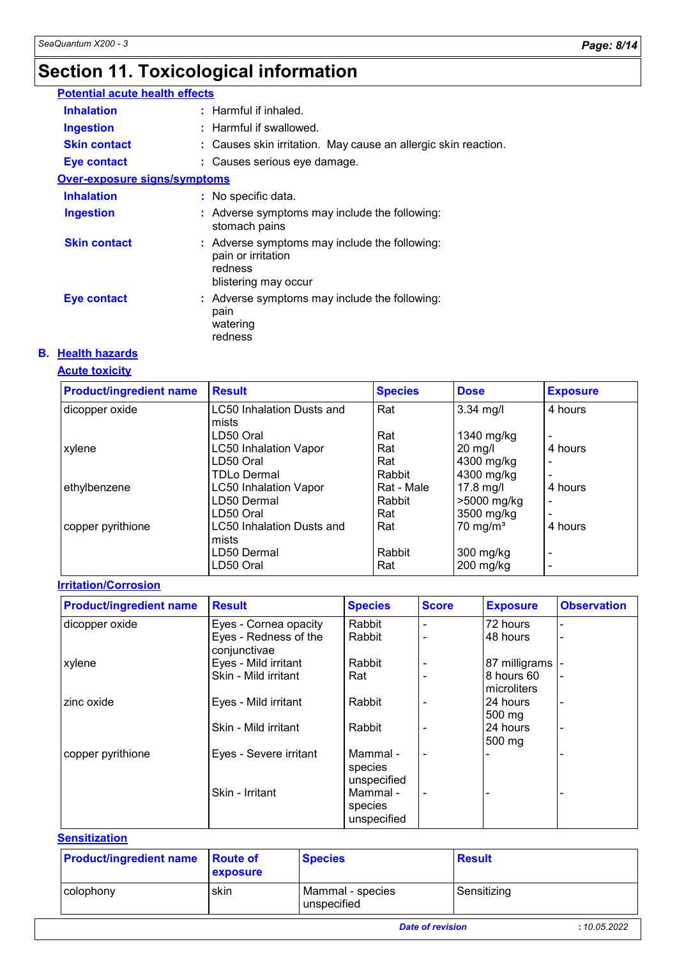# **Section 11. Toxicological information**

| <b>Potential acute health effects</b> |                                                                                                        |
|---------------------------------------|--------------------------------------------------------------------------------------------------------|
| <b>Inhalation</b>                     | $:$ Harmful if inhaled.                                                                                |
| <b>Ingestion</b>                      | : Harmful if swallowed.                                                                                |
| <b>Skin contact</b>                   | : Causes skin irritation. May cause an allergic skin reaction.                                         |
| Eye contact                           | : Causes serious eye damage.                                                                           |
| Over-exposure signs/symptoms          |                                                                                                        |
| <b>Inhalation</b>                     | : No specific data.                                                                                    |
| <b>Ingestion</b>                      | : Adverse symptoms may include the following:<br>stomach pains                                         |
| <b>Skin contact</b>                   | : Adverse symptoms may include the following:<br>pain or irritation<br>redness<br>blistering may occur |
| <b>Eye contact</b>                    | : Adverse symptoms may include the following:<br>pain<br>watering<br>redness                           |

#### **B. Health hazards**

### **Acute toxicity**

| <b>Product/ingredient name</b> | <b>Result</b>                    | <b>Species</b> | <b>Dose</b>         | <b>Exposure</b>          |
|--------------------------------|----------------------------------|----------------|---------------------|--------------------------|
| dicopper oxide                 | <b>LC50 Inhalation Dusts and</b> | Rat            | $3.34$ mg/l         | 4 hours                  |
|                                | mists                            |                |                     |                          |
|                                | LD50 Oral                        | Rat            | 1340 mg/kg          | $\blacksquare$           |
| xylene                         | <b>LC50 Inhalation Vapor</b>     | Rat            | $20 \text{ mg/l}$   | 4 hours                  |
|                                | LD50 Oral                        | Rat            | 4300 mg/kg          | $\overline{\phantom{0}}$ |
|                                | TDLo Dermal                      | Rabbit         | 4300 mg/kg          | $\blacksquare$           |
| ethylbenzene                   | <b>LC50 Inhalation Vapor</b>     | Rat - Male     | 17.8 mg/l           | 4 hours                  |
|                                | LD50 Dermal                      | Rabbit         | >5000 mg/kg         | $\blacksquare$           |
|                                | LD50 Oral                        | Rat            | 3500 mg/kg          | $\overline{\phantom{0}}$ |
| copper pyrithione              | <b>LC50 Inhalation Dusts and</b> | Rat            | $70 \text{ mg/m}^3$ | 4 hours                  |
|                                | mists                            |                |                     |                          |
|                                | LD50 Dermal                      | Rabbit         | $300$ mg/kg         | $\blacksquare$           |
|                                | LD50 Oral                        | Rat            | $200$ mg/kg         | -                        |

#### **Irritation/Corrosion**

| <b>Product/ingredient name</b> | <b>Result</b>                         | <b>Species</b>                     | <b>Score</b>   | <b>Exposure</b>              | <b>Observation</b> |
|--------------------------------|---------------------------------------|------------------------------------|----------------|------------------------------|--------------------|
| dicopper oxide                 | Eyes - Cornea opacity                 | Rabbit                             | $\blacksquare$ | 72 hours                     |                    |
|                                | Eyes - Redness of the<br>conjunctivae | Rabbit                             | $\blacksquare$ | 48 hours                     |                    |
| xylene                         | Eyes - Mild irritant                  | Rabbit                             |                | 87 milligrams -              |                    |
|                                | Skin - Mild irritant                  | Rat                                |                | 8 hours 60<br>microliters    |                    |
| zinc oxide                     | Eyes - Mild irritant                  | Rabbit                             |                | 24 hours<br>$500 \text{ mg}$ |                    |
|                                | Skin - Mild irritant                  | Rabbit                             |                | 24 hours<br>$500 \text{ mg}$ |                    |
| copper pyrithione              | Eyes - Severe irritant                | Mammal -<br>species<br>unspecified | $\blacksquare$ |                              |                    |
|                                | Skin - Irritant                       | Mammal -<br>species<br>unspecified | $\blacksquare$ |                              |                    |

#### **Sensitization**

| <b>Product/ingredient name</b> Route of | exposure | <b>Species</b>                  | <b>Result</b>           |             |
|-----------------------------------------|----------|---------------------------------|-------------------------|-------------|
| colophony                               | skin     | Mammal - species<br>unspecified | Sensitizing             |             |
|                                         |          |                                 | <b>Date of revision</b> | :10.05.2022 |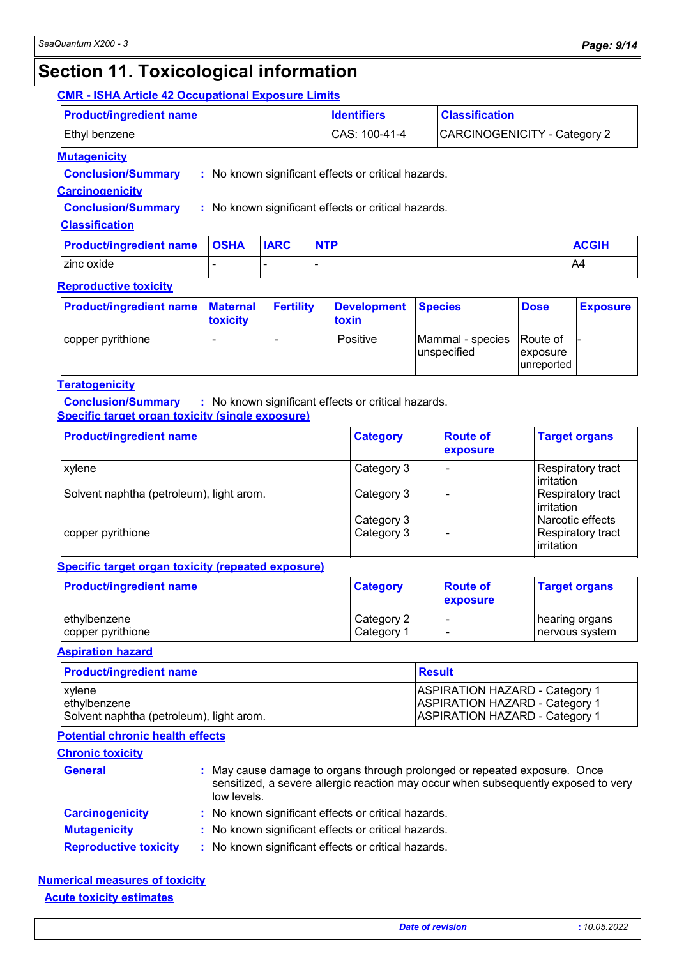### **Section 11. Toxicological information**

#### **CMR - ISHA Article 42 Occupational Exposure Limits**

| <b>Product/ingredient name</b> | <b>Identifiers</b> | <b>Classification</b>        |
|--------------------------------|--------------------|------------------------------|
| <b>Ethyl benzene</b>           | $ CAS: 100-41-4$   | CARCINOGENICITY - Category 2 |

#### **Mutagenicity**

**Conclusion/Summary :** No known significant effects or critical hazards.

#### **Carcinogenicity**

**Conclusion/Summary :** No known significant effects or critical hazards.

#### **Classification**

| <b>Product/ingredient name OSHA</b> | <b>IARC</b> | <b>NTP</b> | <b>ACGIH</b> |
|-------------------------------------|-------------|------------|--------------|
| zinc oxide                          |             |            | A4           |

#### **Reproductive toxicity**

| <b>Product/ingredient name</b> | <b>Maternal</b><br>toxicity | <b>Fertility</b> | Development Species<br>toxin |                                           | <b>Dose</b>                    | <b>Exposure</b> |
|--------------------------------|-----------------------------|------------------|------------------------------|-------------------------------------------|--------------------------------|-----------------|
| copper pyrithione              |                             |                  | Positive                     | Mammal - species Route of<br>lunspecified | <i>exposure</i><br>lunreported |                 |

#### **Teratogenicity**

**Conclusion/Summary :** No known significant effects or critical hazards. **Specific target organ toxicity (single exposure)**

| <b>Product/ingredient name</b>           | <b>Category</b>          | <b>Route of</b><br>exposure | <b>Target organs</b>                                       |
|------------------------------------------|--------------------------|-----------------------------|------------------------------------------------------------|
| xylene                                   | Category 3               |                             | Respiratory tract<br><b>lirritation</b>                    |
| Solvent naphtha (petroleum), light arom. | Category 3               |                             | Respiratory tract<br><b>lirritation</b>                    |
| copper pyrithione                        | Category 3<br>Category 3 |                             | Narcotic effects<br><b>Respiratory tract</b><br>irritation |

#### **Specific target organ toxicity (repeated exposure)**

| <b>Product/ingredient name</b> | <b>Category</b> | <b>Route of</b><br>exposure | <b>Target organs</b> |
|--------------------------------|-----------------|-----------------------------|----------------------|
| ethylbenzene                   | Category 2      |                             | ∣hearing organs      |
| copper pyrithione              | Category 1      | ٠                           | nervous system       |

**Aspiration hazard**

| <b>Product/ingredient name</b>           | <b>Result</b>                         |
|------------------------------------------|---------------------------------------|
| <b>xylene</b>                            | <b>ASPIRATION HAZARD - Category 1</b> |
| lethylbenzene                            | <b>ASPIRATION HAZARD - Category 1</b> |
| Solvent naphtha (petroleum), light arom. | <b>ASPIRATION HAZARD - Category 1</b> |

#### **Potential chronic health effects**

| <b>Chronic toxicity</b>      |                                                                                                                                                                                |
|------------------------------|--------------------------------------------------------------------------------------------------------------------------------------------------------------------------------|
| <b>General</b>               | : May cause damage to organs through prolonged or repeated exposure. Once<br>sensitized, a severe allergic reaction may occur when subsequently exposed to very<br>low levels. |
| <b>Carcinogenicity</b>       | : No known significant effects or critical hazards.                                                                                                                            |
| <b>Mutagenicity</b>          | : No known significant effects or critical hazards.                                                                                                                            |
| <b>Reproductive toxicity</b> | : No known significant effects or critical hazards.                                                                                                                            |

#### **Acute toxicity estimates Numerical measures of toxicity**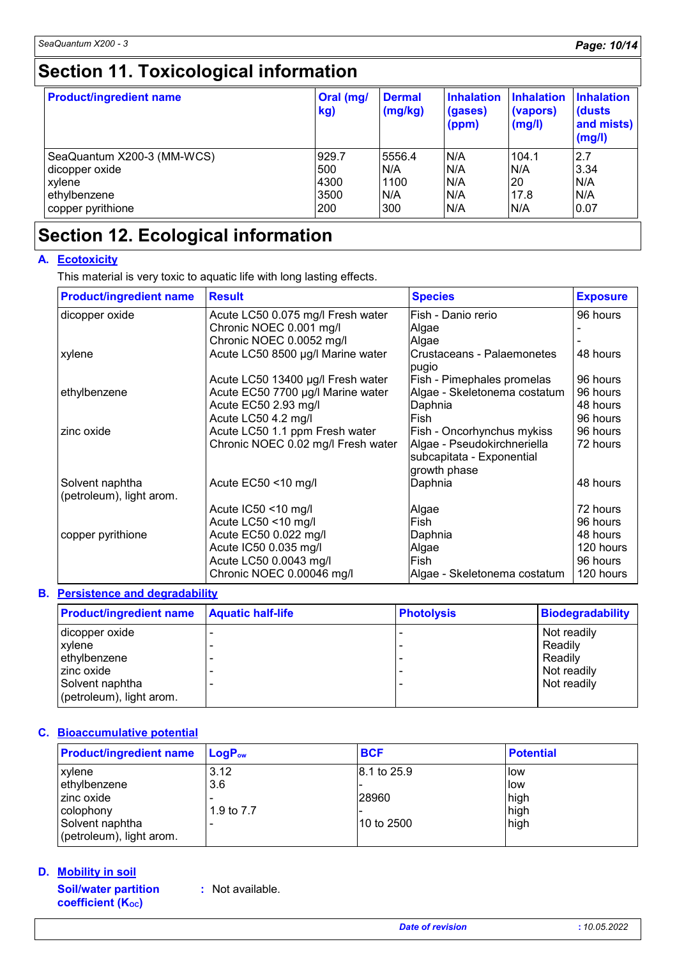# **Section 11. Toxicological information**

| <b>Product/ingredient name</b> | Oral (mg/<br>kg) | <b>Dermal</b><br>(mg/kg) | <b>Inhalation</b><br>(gases)<br>(ppm) | <b>Inhalation</b><br>(vapors)<br>(mg/l) | <b>Inhalation</b><br>(dusts)<br>and mists)<br>(mg/l) |
|--------------------------------|------------------|--------------------------|---------------------------------------|-----------------------------------------|------------------------------------------------------|
| SeaQuantum X200-3 (MM-WCS)     | 929.7            | 5556.4                   | N/A                                   | 104.1                                   | 2.7                                                  |
| dicopper oxide                 | 500              | N/A                      | N/A                                   | N/A                                     | 3.34                                                 |
| xylene                         | 4300             | 1100                     | N/A                                   | 20                                      | N/A                                                  |
| ethylbenzene                   | 3500             | N/A                      | N/A                                   | 17.8                                    | N/A                                                  |
| copper pyrithione              | 200              | 300                      | N/A                                   | N/A                                     | 0.07                                                 |

### **Section 12. Ecological information**

#### **A. Ecotoxicity**

This material is very toxic to aquatic life with long lasting effects.

| <b>Product/ingredient name</b>              | <b>Result</b>                      | <b>Species</b>                      | <b>Exposure</b> |
|---------------------------------------------|------------------------------------|-------------------------------------|-----------------|
| dicopper oxide                              | Acute LC50 0.075 mg/l Fresh water  | Fish - Danio rerio                  | 96 hours        |
|                                             | Chronic NOEC 0.001 mg/l            | Algae                               |                 |
|                                             | Chronic NOEC 0.0052 mg/l           | Algae                               |                 |
| xylene                                      | Acute LC50 8500 µg/l Marine water  | Crustaceans - Palaemonetes<br>pugio | 48 hours        |
|                                             | Acute LC50 13400 µg/l Fresh water  | Fish - Pimephales promelas          | 96 hours        |
| ethylbenzene                                | Acute EC50 7700 µg/l Marine water  | Algae - Skeletonema costatum        | 96 hours        |
|                                             | Acute EC50 2.93 mg/l               | Daphnia                             | 48 hours        |
|                                             | Acute LC50 4.2 mg/l                | Fish                                | 96 hours        |
| zinc oxide                                  | Acute LC50 1.1 ppm Fresh water     | Fish - Oncorhynchus mykiss          | 96 hours        |
|                                             | Chronic NOEC 0.02 mg/l Fresh water | Algae - Pseudokirchneriella         | 72 hours        |
|                                             |                                    | subcapitata - Exponential           |                 |
|                                             |                                    | growth phase                        |                 |
| Solvent naphtha<br>(petroleum), light arom. | Acute $EC50 < 10$ mg/l             | Daphnia                             | 48 hours        |
|                                             | Acute IC50 <10 mg/l                | Algae                               | 72 hours        |
|                                             | Acute LC50 <10 mg/l                | Fish                                | 96 hours        |
| copper pyrithione                           | Acute EC50 0.022 mg/l              | Daphnia                             | 48 hours        |
|                                             | Acute IC50 0.035 mg/l              | Algae                               | 120 hours       |
|                                             | Acute LC50 0.0043 mg/l             | Fish                                | 96 hours        |
|                                             | Chronic NOEC 0.00046 mg/l          | Algae - Skeletonema costatum        | 120 hours       |

#### **Persistence and degradability B.**

| <b>Product/ingredient name</b> | <b>Aquatic half-life</b> | <b>Photolysis</b> | <b>Biodegradability</b> |
|--------------------------------|--------------------------|-------------------|-------------------------|
| dicopper oxide                 |                          |                   | Not readily             |
| xylene                         |                          |                   | Readily                 |
| ethylbenzene                   |                          |                   | Readily                 |
| zinc oxide                     |                          |                   | Not readily             |
| Solvent naphtha                |                          |                   | Not readily             |
| (petroleum), light arom.       |                          |                   |                         |

#### **Bioaccumulative potential C.**

| <b>Product/ingredient name</b> | $LogP_{ow}$ | <b>BCF</b>  | <b>Potential</b> |
|--------------------------------|-------------|-------------|------------------|
| <b>xylene</b>                  | 3.12        | 8.1 to 25.9 | <b>I</b> low     |
| ethylbenzene                   | 3.6         |             | llow             |
| zinc oxide                     |             | 28960       | high             |
| colophony                      | 1.9 to 7.7  |             | high             |
| Solvent naphtha                |             | l10 to 2500 | high             |
| (petroleum), light arom.       |             |             |                  |

#### **Mobility in soil D.**

**Soil/water partition coefficient (KOC)**

**:** Not available.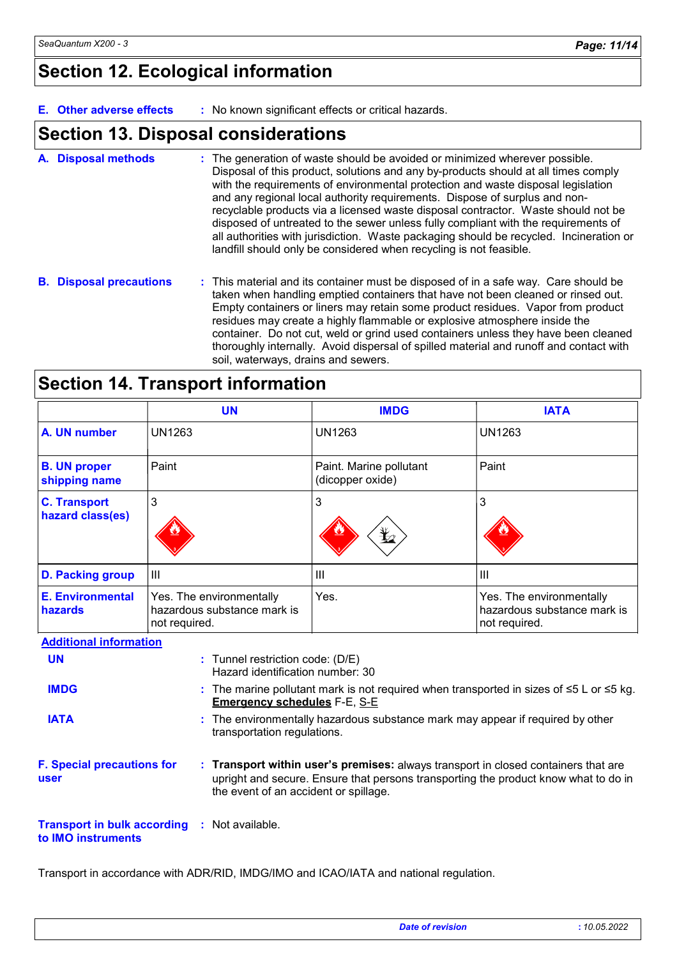### **Section 12. Ecological information**

**E. Other adverse effects :** No known significant effects or critical hazards.

### **Section 13. Disposal considerations**

- The generation of waste should be avoided or minimized wherever possible. Disposal of this product, solutions and any by-products should at all times comply with the requirements of environmental protection and waste disposal legislation and any regional local authority requirements. Dispose of surplus and nonrecyclable products via a licensed waste disposal contractor. Waste should not be disposed of untreated to the sewer unless fully compliant with the requirements of all authorities with jurisdiction. Waste packaging should be recycled. Incineration or landfill should only be considered when recycling is not feasible. **A. Disposal methods :**
- **B. Disposal precautions :** This material and its container must be disposed of in a safe way. Care should be taken when handling emptied containers that have not been cleaned or rinsed out. Empty containers or liners may retain some product residues. Vapor from product residues may create a highly flammable or explosive atmosphere inside the container. Do not cut, weld or grind used containers unless they have been cleaned thoroughly internally. Avoid dispersal of spilled material and runoff and contact with soil, waterways, drains and sewers.

| <b>Section 14. Transport information</b> |  |
|------------------------------------------|--|
|------------------------------------------|--|

|                                         | <b>UN</b>                                                                | <b>IMDG</b>                                                                  | <b>IATA</b>                                                                                         |  |
|-----------------------------------------|--------------------------------------------------------------------------|------------------------------------------------------------------------------|-----------------------------------------------------------------------------------------------------|--|
| A. UN number                            | UN1263                                                                   | <b>UN1263</b>                                                                | <b>UN1263</b>                                                                                       |  |
| <b>B. UN proper</b><br>shipping name    | Paint                                                                    | Paint. Marine pollutant<br>(dicopper oxide)                                  | Paint                                                                                               |  |
| <b>C. Transport</b><br>hazard class(es) | 3                                                                        | 3<br>$\bigoplus$                                                             | 3                                                                                                   |  |
| <b>D. Packing group</b>                 | $\mathbf{III}$                                                           | III                                                                          | III                                                                                                 |  |
| <b>E. Environmental</b><br>hazards      | Yes. The environmentally<br>hazardous substance mark is<br>not required. | Yes.                                                                         | Yes. The environmentally<br>hazardous substance mark is<br>not required.                            |  |
| <b>Additional information</b>           |                                                                          |                                                                              |                                                                                                     |  |
| <b>UN</b>                               | : Tunnel restriction code: (D/E)<br>Hazard identification number: 30     |                                                                              |                                                                                                     |  |
| <b>IMDG</b>                             | <b>Emergency schedules F-E, S-E</b>                                      |                                                                              | : The marine pollutant mark is not required when transported in sizes of $\leq 5$ L or $\leq 5$ kg. |  |
| <b>IATA</b>                             | transportation regulations.                                              | The environmentally hazardous substance mark may appear if required by other |                                                                                                     |  |

**F. Special precautions for user**

**Transport within user's premises:** always transport in closed containers that are **:** upright and secure. Ensure that persons transporting the product know what to do in the event of an accident or spillage.

**Transport in bulk according :** Not available. **to IMO instruments**

Transport in accordance with ADR/RID, IMDG/IMO and ICAO/IATA and national regulation.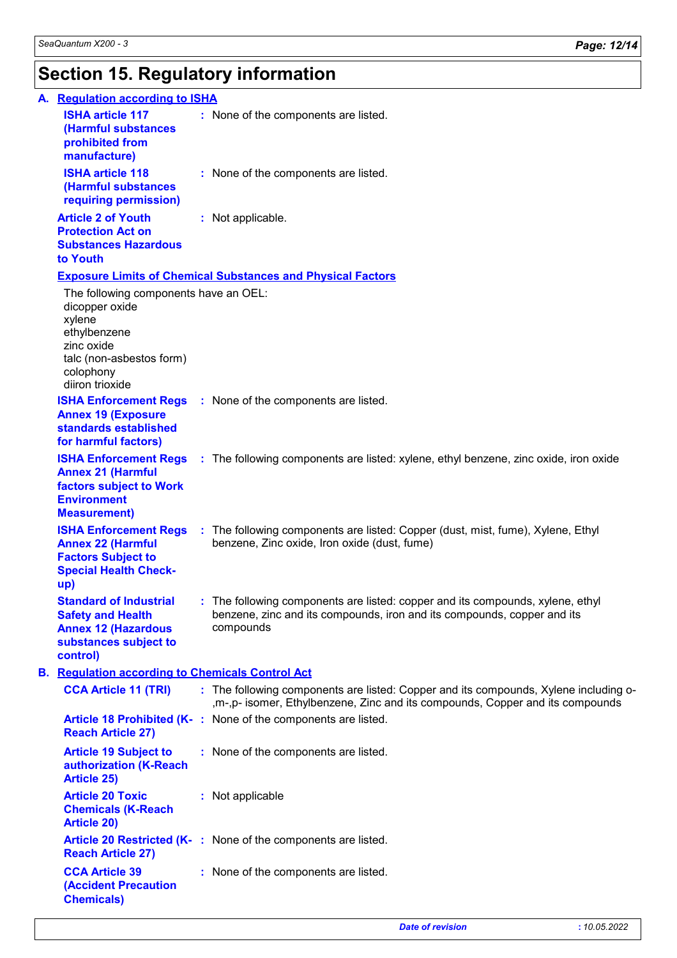# **Section 15. Regulatory information**

| A. Regulation according to ISHA                                                                                                                             |                                                                                                                                                                         |  |
|-------------------------------------------------------------------------------------------------------------------------------------------------------------|-------------------------------------------------------------------------------------------------------------------------------------------------------------------------|--|
| <b>ISHA article 117</b><br>(Harmful substances<br>prohibited from<br>manufacture)                                                                           | : None of the components are listed.                                                                                                                                    |  |
| <b>ISHA article 118</b><br>(Harmful substances<br>requiring permission)                                                                                     | : None of the components are listed.                                                                                                                                    |  |
| <b>Article 2 of Youth</b><br><b>Protection Act on</b><br><b>Substances Hazardous</b><br>to Youth                                                            | : Not applicable.                                                                                                                                                       |  |
|                                                                                                                                                             | <b>Exposure Limits of Chemical Substances and Physical Factors</b>                                                                                                      |  |
| The following components have an OEL:<br>dicopper oxide<br>xylene<br>ethylbenzene<br>zinc oxide<br>talc (non-asbestos form)<br>colophony<br>diiron trioxide |                                                                                                                                                                         |  |
| <b>Annex 19 (Exposure</b><br>standards established<br>for harmful factors)                                                                                  | <b>ISHA Enforcement Regs</b> : None of the components are listed.                                                                                                       |  |
| <b>Annex 21 (Harmful</b><br>factors subject to Work<br><b>Environment</b><br><b>Measurement)</b>                                                            | <b>ISHA Enforcement Regs</b> : The following components are listed: xylene, ethyl benzene, zinc oxide, iron oxide                                                       |  |
| <b>Annex 22 (Harmful</b><br><b>Factors Subject to</b><br><b>Special Health Check-</b><br>up)                                                                | <b>ISHA Enforcement Regs</b> : The following components are listed: Copper (dust, mist, fume), Xylene, Ethyl<br>benzene, Zinc oxide, Iron oxide (dust, fume)            |  |
| <b>Standard of Industrial</b><br><b>Safety and Health</b><br><b>Annex 12 (Hazardous</b><br>substances subject to<br>control)                                | : The following components are listed: copper and its compounds, xylene, ethyl<br>benzene, zinc and its compounds, iron and its compounds, copper and its<br>compounds  |  |
| <b>B.</b> Regulation according to Chemicals Control Act                                                                                                     |                                                                                                                                                                         |  |
| <b>CCA Article 11 (TRI)</b>                                                                                                                                 | : The following components are listed: Copper and its compounds, Xylene including o-<br>, m-, p- isomer, Ethylbenzene, Zinc and its compounds, Copper and its compounds |  |
| <b>Reach Article 27)</b>                                                                                                                                    | Article 18 Prohibited (K-: None of the components are listed.                                                                                                           |  |
| <b>Article 19 Subject to</b><br>authorization (K-Reach<br><b>Article 25)</b>                                                                                | : None of the components are listed.                                                                                                                                    |  |
| <b>Article 20 Toxic</b><br><b>Chemicals (K-Reach</b><br><b>Article 20)</b>                                                                                  | : Not applicable                                                                                                                                                        |  |
| <b>Reach Article 27)</b>                                                                                                                                    | Article 20 Restricted (K-: None of the components are listed.                                                                                                           |  |
| <b>CCA Article 39</b><br><b>(Accident Precaution</b><br><b>Chemicals)</b>                                                                                   | : None of the components are listed.                                                                                                                                    |  |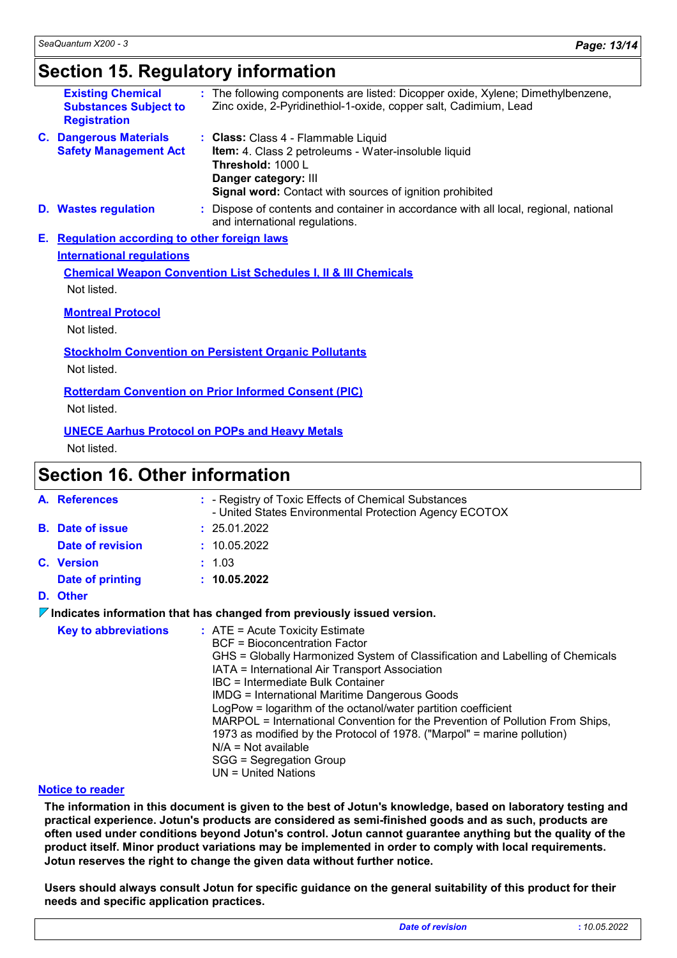### **Section 15. Regulatory information**

|                                                                                                                                            | <b>Existing Chemical</b><br><b>Substances Subject to</b><br><b>Registration</b> |  | The following components are listed: Dicopper oxide, Xylene; Dimethylbenzene,<br>Zinc oxide, 2-Pyridinethiol-1-oxide, copper salt, Cadimium, Lead                                                    |             |
|--------------------------------------------------------------------------------------------------------------------------------------------|---------------------------------------------------------------------------------|--|------------------------------------------------------------------------------------------------------------------------------------------------------------------------------------------------------|-------------|
|                                                                                                                                            | <b>C. Dangerous Materials</b><br><b>Safety Management Act</b>                   |  | : Class: Class 4 - Flammable Liquid<br>Item: 4. Class 2 petroleums - Water-insoluble liquid<br>Threshold: 1000 L<br>Danger category: III<br>Signal word: Contact with sources of ignition prohibited |             |
|                                                                                                                                            | <b>D.</b> Wastes regulation                                                     |  | Dispose of contents and container in accordance with all local, regional, national<br>and international regulations.                                                                                 |             |
| Е.                                                                                                                                         | <b>Requlation according to other foreign laws</b>                               |  |                                                                                                                                                                                                      |             |
| <b>International requlations</b>                                                                                                           |                                                                                 |  |                                                                                                                                                                                                      |             |
| <b>Chemical Weapon Convention List Schedules I, II &amp; III Chemicals</b>                                                                 |                                                                                 |  |                                                                                                                                                                                                      |             |
|                                                                                                                                            | Not listed.                                                                     |  |                                                                                                                                                                                                      |             |
|                                                                                                                                            | <b>Montreal Protocol</b>                                                        |  |                                                                                                                                                                                                      |             |
|                                                                                                                                            | Not listed.                                                                     |  |                                                                                                                                                                                                      |             |
| <b>Stockholm Convention on Persistent Organic Pollutants</b><br>Not listed.<br><b>Rotterdam Convention on Prior Informed Consent (PIC)</b> |                                                                                 |  |                                                                                                                                                                                                      |             |
|                                                                                                                                            |                                                                                 |  |                                                                                                                                                                                                      |             |
|                                                                                                                                            |                                                                                 |  |                                                                                                                                                                                                      | Not listed. |
|                                                                                                                                            |                                                                                 |  | <b>UNECE Aarhus Protocol on POPs and Heavy Metals</b>                                                                                                                                                |             |

Not listed.

### **Section 16. Other information**

|                                                                                        | A. References               |  | : - Registry of Toxic Effects of Chemical Substances<br>- United States Environmental Protection Agency ECOTOX                                                                                                                                                                                                                                                                                                                                                                                                                                                                                                      |
|----------------------------------------------------------------------------------------|-----------------------------|--|---------------------------------------------------------------------------------------------------------------------------------------------------------------------------------------------------------------------------------------------------------------------------------------------------------------------------------------------------------------------------------------------------------------------------------------------------------------------------------------------------------------------------------------------------------------------------------------------------------------------|
|                                                                                        | <b>B.</b> Date of issue     |  | : 25.01.2022                                                                                                                                                                                                                                                                                                                                                                                                                                                                                                                                                                                                        |
|                                                                                        | Date of revision            |  | : 10.05.2022                                                                                                                                                                                                                                                                                                                                                                                                                                                                                                                                                                                                        |
|                                                                                        | <b>C.</b> Version           |  | : 1.03                                                                                                                                                                                                                                                                                                                                                                                                                                                                                                                                                                                                              |
|                                                                                        | Date of printing            |  | : 10.05.2022                                                                                                                                                                                                                                                                                                                                                                                                                                                                                                                                                                                                        |
|                                                                                        | D. Other                    |  |                                                                                                                                                                                                                                                                                                                                                                                                                                                                                                                                                                                                                     |
| $\triangledown$ Indicates information that has changed from previously issued version. |                             |  |                                                                                                                                                                                                                                                                                                                                                                                                                                                                                                                                                                                                                     |
|                                                                                        | <b>Key to abbreviations</b> |  | $:$ ATE = Acute Toxicity Estimate<br><b>BCF</b> = Bioconcentration Factor<br>GHS = Globally Harmonized System of Classification and Labelling of Chemicals<br>IATA = International Air Transport Association<br>IBC = Intermediate Bulk Container<br><b>IMDG</b> = International Maritime Dangerous Goods<br>LogPow = logarithm of the octanol/water partition coefficient<br>MARPOL = International Convention for the Prevention of Pollution From Ships,<br>1973 as modified by the Protocol of 1978. ("Marpol" = marine pollution)<br>$N/A = Not available$<br>SGG = Segregation Group<br>$UN = United Nations$ |

#### **Notice to reader**

**The information in this document is given to the best of Jotun's knowledge, based on laboratory testing and practical experience. Jotun's products are considered as semi-finished goods and as such, products are often used under conditions beyond Jotun's control. Jotun cannot guarantee anything but the quality of the product itself. Minor product variations may be implemented in order to comply with local requirements. Jotun reserves the right to change the given data without further notice.**

**Users should always consult Jotun for specific guidance on the general suitability of this product for their needs and specific application practices.**